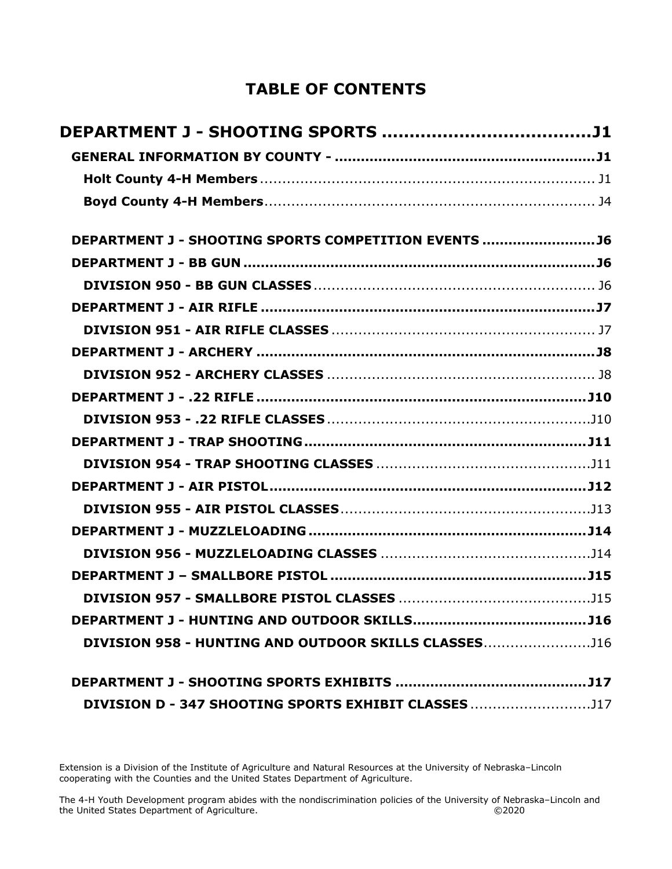# **TABLE OF CONTENTS**

| DEPARTMENT J - SHOOTING SPORTS COMPETITION EVENTS  J6 |  |
|-------------------------------------------------------|--|
|                                                       |  |
|                                                       |  |
|                                                       |  |
|                                                       |  |
|                                                       |  |
|                                                       |  |
|                                                       |  |
|                                                       |  |
|                                                       |  |
|                                                       |  |
|                                                       |  |
|                                                       |  |
|                                                       |  |
|                                                       |  |
|                                                       |  |
|                                                       |  |
|                                                       |  |
| DIVISION 958 - HUNTING AND OUTDOOR SKILLS CLASSES116  |  |
|                                                       |  |
| DIVISION D - 347 SHOOTING SPORTS EXHIBIT CLASSES 117  |  |

Extension is a Division of the Institute of Agriculture and Natural Resources at the University of Nebraska–Lincoln cooperating with the Counties and the United States Department of Agriculture.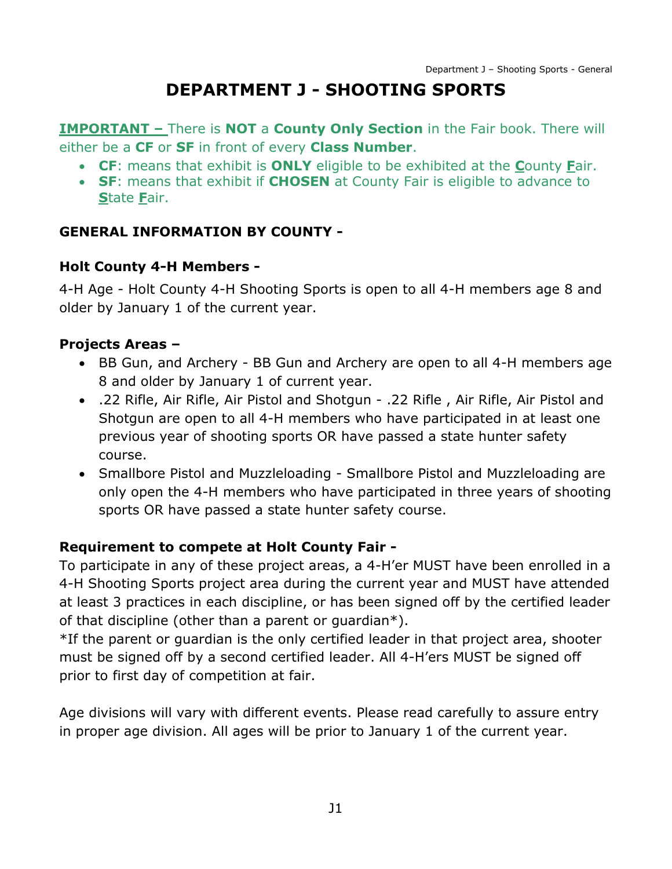# **DEPARTMENT J - SHOOTING SPORTS**

<span id="page-1-0"></span>**IMPORTANT –** There is **NOT** a **County Only Section** in the Fair book. There will either be a **CF** or **SF** in front of every **Class Number**.

- **CF**: means that exhibit is **ONLY** eligible to be exhibited at the **C**ounty **F**air.
- **SF**: means that exhibit if **CHOSEN** at County Fair is eligible to advance to **S**tate **F**air.

### <span id="page-1-1"></span>**GENERAL INFORMATION BY COUNTY -**

#### <span id="page-1-2"></span>**Holt County 4-H Members -**

4-H Age - Holt County 4-H Shooting Sports is open to all 4-H members age 8 and older by January 1 of the current year.

#### **Projects Areas –**

- BB Gun, and Archery BB Gun and Archery are open to all 4-H members age 8 and older by January 1 of current year.
- .22 Rifle, Air Rifle, Air Pistol and Shotgun .22 Rifle , Air Rifle, Air Pistol and Shotgun are open to all 4-H members who have participated in at least one previous year of shooting sports OR have passed a state hunter safety course.
- Smallbore Pistol and Muzzleloading Smallbore Pistol and Muzzleloading are only open the 4-H members who have participated in three years of shooting sports OR have passed a state hunter safety course.

### **Requirement to compete at Holt County Fair -**

To participate in any of these project areas, a 4-H'er MUST have been enrolled in a 4-H Shooting Sports project area during the current year and MUST have attended at least 3 practices in each discipline, or has been signed off by the certified leader of that discipline (other than a parent or guardian\*).

\*If the parent or guardian is the only certified leader in that project area, shooter must be signed off by a second certified leader. All 4-H'ers MUST be signed off prior to first day of competition at fair.

Age divisions will vary with different events. Please read carefully to assure entry in proper age division. All ages will be prior to January 1 of the current year.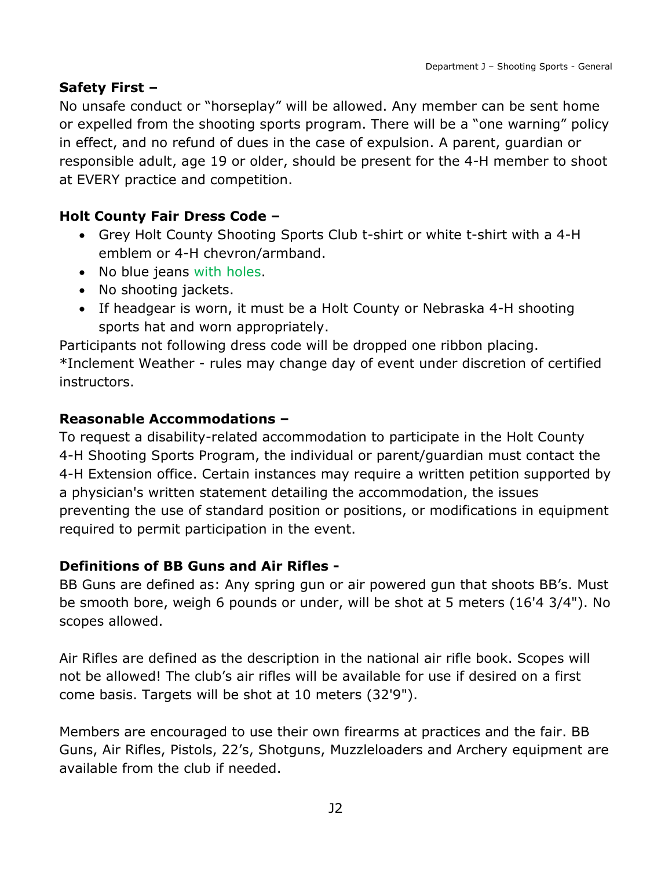#### **Safety First –**

No unsafe conduct or "horseplay" will be allowed. Any member can be sent home or expelled from the shooting sports program. There will be a "one warning" policy in effect, and no refund of dues in the case of expulsion. A parent, guardian or responsible adult, age 19 or older, should be present for the 4-H member to shoot at EVERY practice and competition.

#### **Holt County Fair Dress Code –**

- Grey Holt County Shooting Sports Club t-shirt or white t-shirt with a 4-H emblem or 4-H chevron/armband.
- No blue jeans with holes.
- No shooting jackets.
- If headgear is worn, it must be a Holt County or Nebraska 4-H shooting sports hat and worn appropriately.

Participants not following dress code will be dropped one ribbon placing. \*Inclement Weather - rules may change day of event under discretion of certified instructors.

#### **Reasonable Accommodations –**

To request a disability-related accommodation to participate in the Holt County 4-H Shooting Sports Program, the individual or parent/guardian must contact the 4-H Extension office. Certain instances may require a written petition supported by a physician's written statement detailing the accommodation, the issues preventing the use of standard position or positions, or modifications in equipment required to permit participation in the event.

#### **Definitions of BB Guns and Air Rifles -**

BB Guns are defined as: Any spring gun or air powered gun that shoots BB's. Must be smooth bore, weigh 6 pounds or under, will be shot at 5 meters (16'4 3/4"). No scopes allowed.

Air Rifles are defined as the description in the national air rifle book. Scopes will not be allowed! The club's air rifles will be available for use if desired on a first come basis. Targets will be shot at 10 meters (32'9").

Members are encouraged to use their own firearms at practices and the fair. BB Guns, Air Rifles, Pistols, 22's, Shotguns, Muzzleloaders and Archery equipment are available from the club if needed.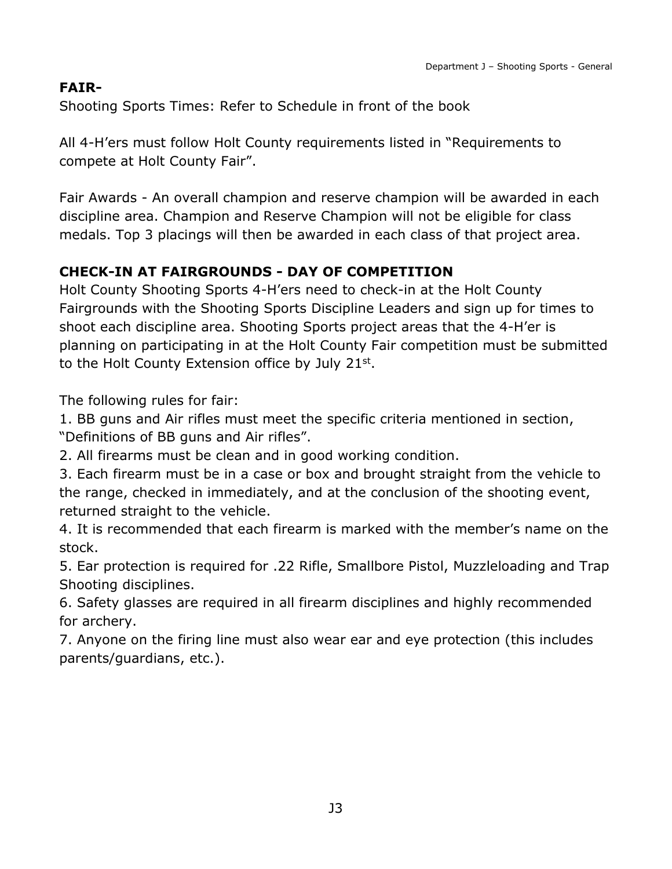### **FAIR-**

Shooting Sports Times: Refer to Schedule in front of the book

All 4-H'ers must follow Holt County requirements listed in "Requirements to compete at Holt County Fair".

Fair Awards - An overall champion and reserve champion will be awarded in each discipline area. Champion and Reserve Champion will not be eligible for class medals. Top 3 placings will then be awarded in each class of that project area.

### **CHECK-IN AT FAIRGROUNDS - DAY OF COMPETITION**

Holt County Shooting Sports 4-H'ers need to check-in at the Holt County Fairgrounds with the Shooting Sports Discipline Leaders and sign up for times to shoot each discipline area. Shooting Sports project areas that the 4-H'er is planning on participating in at the Holt County Fair competition must be submitted to the Holt County Extension office by July  $21^{st}$ .

The following rules for fair:

1. BB guns and Air rifles must meet the specific criteria mentioned in section, "Definitions of BB guns and Air rifles".

2. All firearms must be clean and in good working condition.

3. Each firearm must be in a case or box and brought straight from the vehicle to the range, checked in immediately, and at the conclusion of the shooting event, returned straight to the vehicle.

4. It is recommended that each firearm is marked with the member's name on the stock.

5. Ear protection is required for .22 Rifle, Smallbore Pistol, Muzzleloading and Trap Shooting disciplines.

6. Safety glasses are required in all firearm disciplines and highly recommended for archery.

7. Anyone on the firing line must also wear ear and eye protection (this includes parents/guardians, etc.).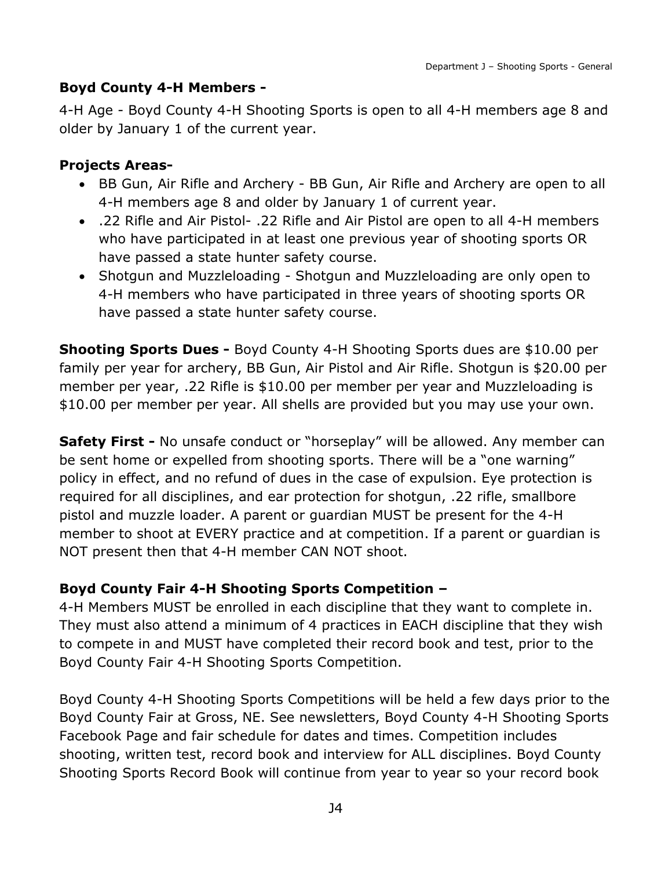### <span id="page-4-0"></span>**Boyd County 4-H Members -**

4-H Age - Boyd County 4-H Shooting Sports is open to all 4-H members age 8 and older by January 1 of the current year.

#### **Projects Areas-**

- BB Gun, Air Rifle and Archery BB Gun, Air Rifle and Archery are open to all 4-H members age 8 and older by January 1 of current year.
- .22 Rifle and Air Pistol- .22 Rifle and Air Pistol are open to all 4-H members who have participated in at least one previous year of shooting sports OR have passed a state hunter safety course.
- Shotgun and Muzzleloading Shotgun and Muzzleloading are only open to 4-H members who have participated in three years of shooting sports OR have passed a state hunter safety course.

**Shooting Sports Dues -** Boyd County 4-H Shooting Sports dues are \$10.00 per family per year for archery, BB Gun, Air Pistol and Air Rifle. Shotgun is \$20.00 per member per year, .22 Rifle is \$10.00 per member per year and Muzzleloading is \$10.00 per member per year. All shells are provided but you may use your own.

**Safety First -** No unsafe conduct or "horseplay" will be allowed. Any member can be sent home or expelled from shooting sports. There will be a "one warning" policy in effect, and no refund of dues in the case of expulsion. Eye protection is required for all disciplines, and ear protection for shotgun, .22 rifle, smallbore pistol and muzzle loader. A parent or guardian MUST be present for the 4-H member to shoot at EVERY practice and at competition. If a parent or guardian is NOT present then that 4-H member CAN NOT shoot.

### **Boyd County Fair 4-H Shooting Sports Competition –**

4-H Members MUST be enrolled in each discipline that they want to complete in. They must also attend a minimum of 4 practices in EACH discipline that they wish to compete in and MUST have completed their record book and test, prior to the Boyd County Fair 4-H Shooting Sports Competition.

Boyd County 4-H Shooting Sports Competitions will be held a few days prior to the Boyd County Fair at Gross, NE. See newsletters, Boyd County 4-H Shooting Sports Facebook Page and fair schedule for dates and times. Competition includes shooting, written test, record book and interview for ALL disciplines. Boyd County Shooting Sports Record Book will continue from year to year so your record book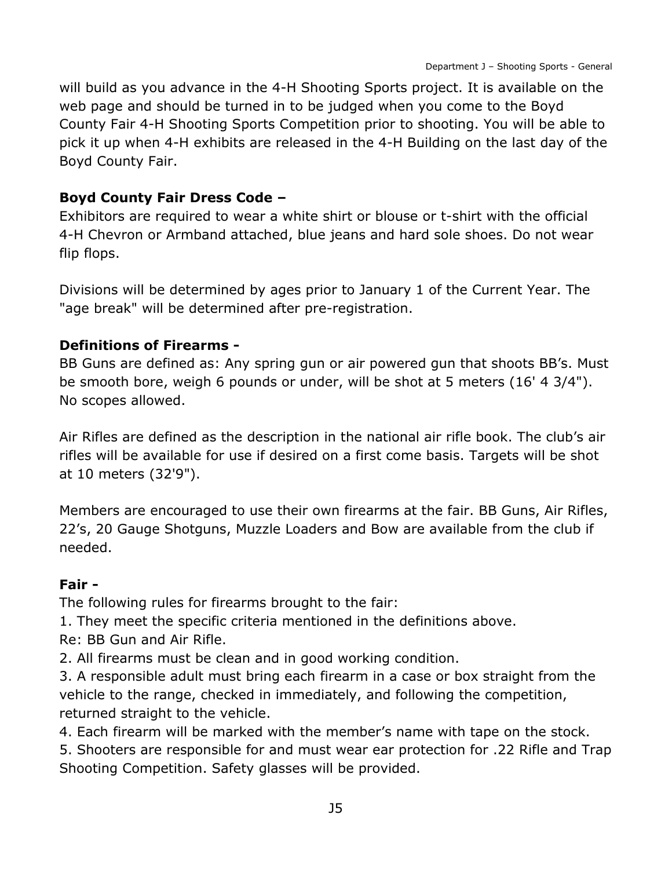will build as you advance in the 4-H Shooting Sports project. It is available on the web page and should be turned in to be judged when you come to the Boyd County Fair 4-H Shooting Sports Competition prior to shooting. You will be able to pick it up when 4-H exhibits are released in the 4-H Building on the last day of the Boyd County Fair.

#### **Boyd County Fair Dress Code –**

Exhibitors are required to wear a white shirt or blouse or t-shirt with the official 4-H Chevron or Armband attached, blue jeans and hard sole shoes. Do not wear flip flops.

Divisions will be determined by ages prior to January 1 of the Current Year. The "age break" will be determined after pre-registration.

#### **Definitions of Firearms -**

BB Guns are defined as: Any spring gun or air powered gun that shoots BB's. Must be smooth bore, weigh 6 pounds or under, will be shot at 5 meters (16' 4 3/4"). No scopes allowed.

Air Rifles are defined as the description in the national air rifle book. The club's air rifles will be available for use if desired on a first come basis. Targets will be shot at 10 meters (32'9").

Members are encouraged to use their own firearms at the fair. BB Guns, Air Rifles, 22's, 20 Gauge Shotguns, Muzzle Loaders and Bow are available from the club if needed.

#### **Fair -**

The following rules for firearms brought to the fair:

1. They meet the specific criteria mentioned in the definitions above.

Re: BB Gun and Air Rifle.

2. All firearms must be clean and in good working condition.

3. A responsible adult must bring each firearm in a case or box straight from the vehicle to the range, checked in immediately, and following the competition, returned straight to the vehicle.

4. Each firearm will be marked with the member's name with tape on the stock.

5. Shooters are responsible for and must wear ear protection for .22 Rifle and Trap Shooting Competition. Safety glasses will be provided.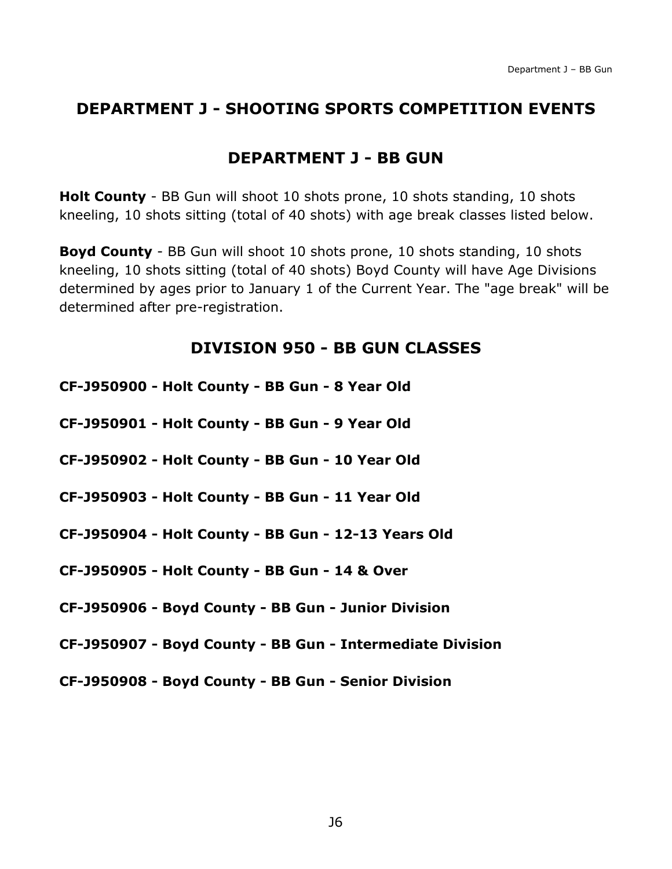## <span id="page-6-0"></span>**DEPARTMENT J - SHOOTING SPORTS COMPETITION EVENTS**

## **DEPARTMENT J - BB GUN**

<span id="page-6-1"></span>**Holt County** - BB Gun will shoot 10 shots prone, 10 shots standing, 10 shots kneeling, 10 shots sitting (total of 40 shots) with age break classes listed below.

**Boyd County** - BB Gun will shoot 10 shots prone, 10 shots standing, 10 shots kneeling, 10 shots sitting (total of 40 shots) Boyd County will have Age Divisions determined by ages prior to January 1 of the Current Year. The "age break" will be determined after pre-registration.

### **DIVISION 950 - BB GUN CLASSES**

- <span id="page-6-2"></span>**CF-J950900 - Holt County - BB Gun - 8 Year Old**
- **CF-J950901 - Holt County - BB Gun - 9 Year Old**
- **CF-J950902 - Holt County - BB Gun - 10 Year Old**
- **CF-J950903 - Holt County - BB Gun - 11 Year Old**
- **CF-J950904 - Holt County - BB Gun - 12-13 Years Old**
- **CF-J950905 - Holt County - BB Gun - 14 & Over**
- **CF-J950906 - Boyd County - BB Gun - Junior Division**
- **CF-J950907 - Boyd County - BB Gun - Intermediate Division**
- **CF-J950908 - Boyd County - BB Gun - Senior Division**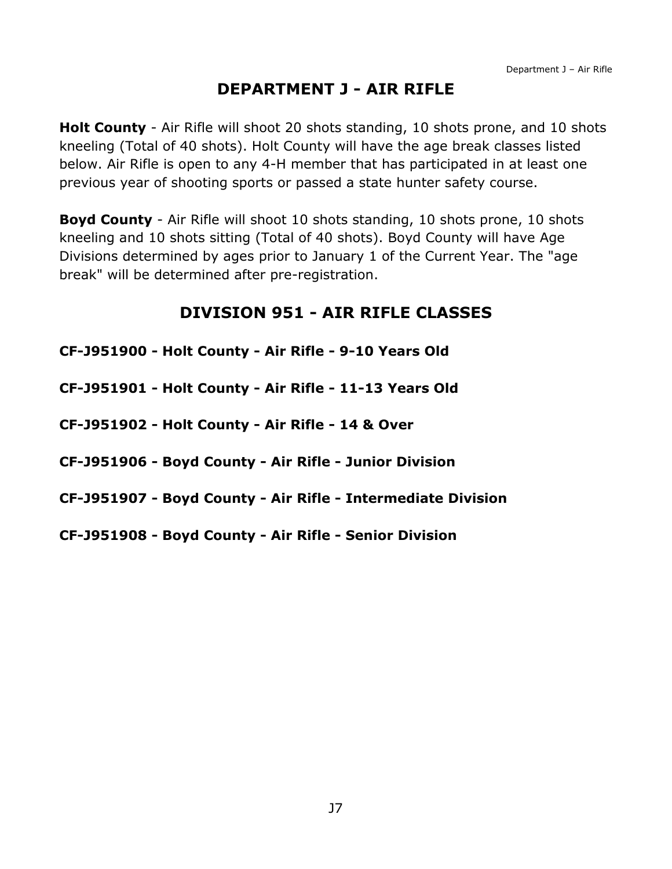# **DEPARTMENT J - AIR RIFLE**

<span id="page-7-0"></span>**Holt County** - Air Rifle will shoot 20 shots standing, 10 shots prone, and 10 shots kneeling (Total of 40 shots). Holt County will have the age break classes listed below. Air Rifle is open to any 4-H member that has participated in at least one previous year of shooting sports or passed a state hunter safety course.

**Boyd County** - Air Rifle will shoot 10 shots standing, 10 shots prone, 10 shots kneeling and 10 shots sitting (Total of 40 shots). Boyd County will have Age Divisions determined by ages prior to January 1 of the Current Year. The "age break" will be determined after pre-registration.

## **DIVISION 951 - AIR RIFLE CLASSES**

<span id="page-7-1"></span>

| CF-J951900 - Holt County - Air Rifle - 9-10 Years Old        |
|--------------------------------------------------------------|
| CF-J951901 - Holt County - Air Rifle - 11-13 Years Old       |
| CF-J951902 - Holt County - Air Rifle - 14 & Over             |
| CF-J951906 - Boyd County - Air Rifle - Junior Division       |
| CF-J951907 - Boyd County - Air Rifle - Intermediate Division |
| CF-J951908 - Boyd County - Air Rifle - Senior Division       |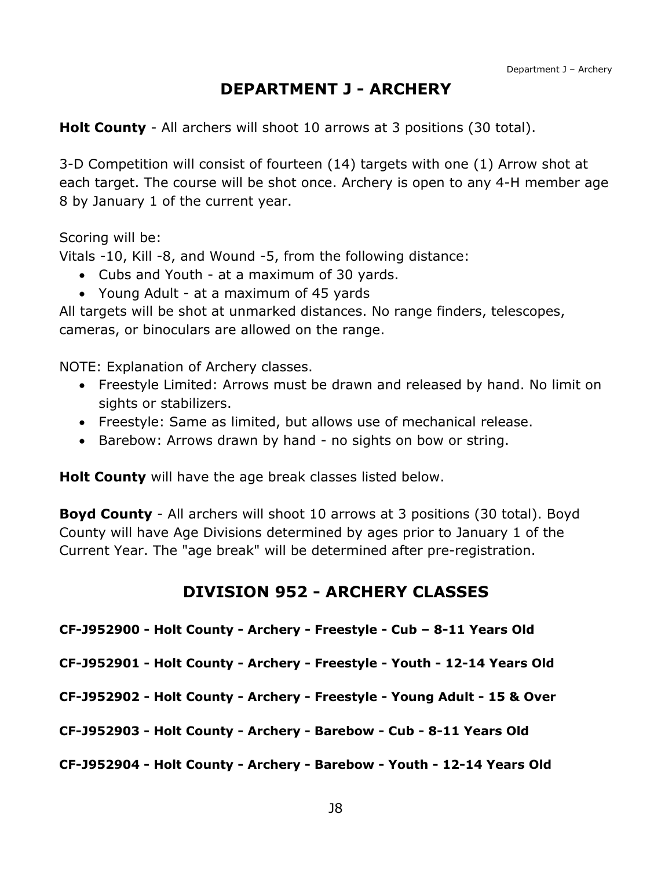## **DEPARTMENT J - ARCHERY**

<span id="page-8-0"></span>**Holt County** - All archers will shoot 10 arrows at 3 positions (30 total).

3-D Competition will consist of fourteen (14) targets with one (1) Arrow shot at each target. The course will be shot once. Archery is open to any 4-H member age 8 by January 1 of the current year.

Scoring will be:

Vitals -10, Kill -8, and Wound -5, from the following distance:

- Cubs and Youth at a maximum of 30 yards.
- Young Adult at a maximum of 45 yards

All targets will be shot at unmarked distances. No range finders, telescopes, cameras, or binoculars are allowed on the range.

NOTE: Explanation of Archery classes.

- Freestyle Limited: Arrows must be drawn and released by hand. No limit on sights or stabilizers.
- Freestyle: Same as limited, but allows use of mechanical release.
- Barebow: Arrows drawn by hand no sights on bow or string.

**Holt County** will have the age break classes listed below.

**Boyd County** - All archers will shoot 10 arrows at 3 positions (30 total). Boyd County will have Age Divisions determined by ages prior to January 1 of the Current Year. The "age break" will be determined after pre-registration.

#### **DIVISION 952 - ARCHERY CLASSES**

<span id="page-8-1"></span>**CF-J952900 - Holt County - Archery - Freestyle - Cub – 8-11 Years Old**

**CF-J952901 - Holt County - Archery - Freestyle - Youth - 12-14 Years Old**

**CF-J952902 - Holt County - Archery - Freestyle - Young Adult - 15 & Over**

**CF-J952903 - Holt County - Archery - Barebow - Cub - 8-11 Years Old**

**CF-J952904 - Holt County - Archery - Barebow - Youth - 12-14 Years Old**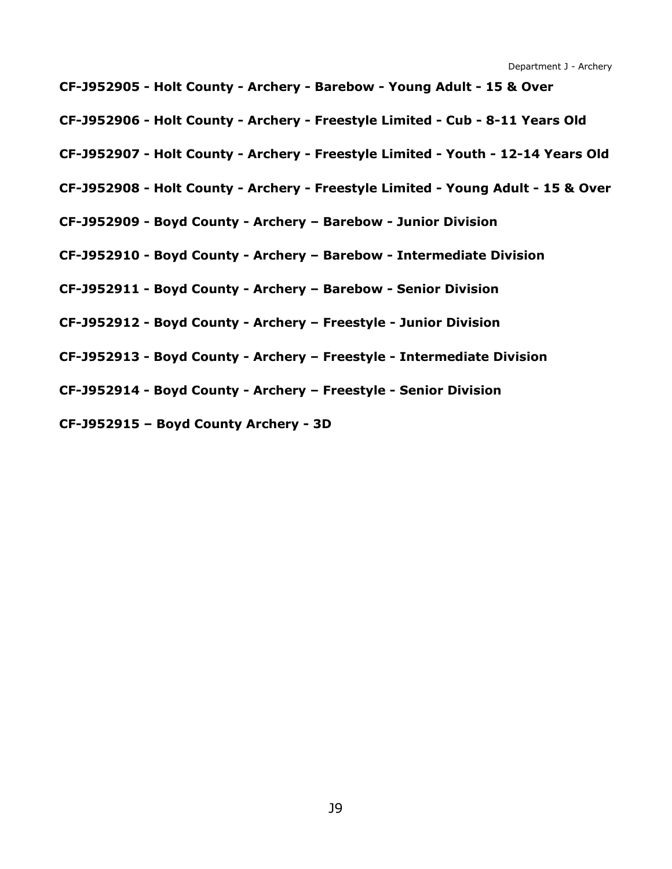**CF-J952905 - Holt County - Archery - Barebow - Young Adult - 15 & Over**

**CF-J952906 - Holt County - Archery - Freestyle Limited - Cub - 8-11 Years Old**

- **CF-J952907 - Holt County - Archery - Freestyle Limited - Youth - 12-14 Years Old**
- **CF-J952908 - Holt County - Archery - Freestyle Limited - Young Adult - 15 & Over**
- **CF-J952909 - Boyd County - Archery – Barebow - Junior Division**
- **CF-J952910 - Boyd County - Archery – Barebow - Intermediate Division**
- **CF-J952911 - Boyd County - Archery – Barebow - Senior Division**
- **CF-J952912 - Boyd County - Archery – Freestyle - Junior Division**
- **CF-J952913 - Boyd County - Archery – Freestyle - Intermediate Division**
- **CF-J952914 - Boyd County - Archery – Freestyle - Senior Division**
- **CF-J952915 – Boyd County Archery - 3D**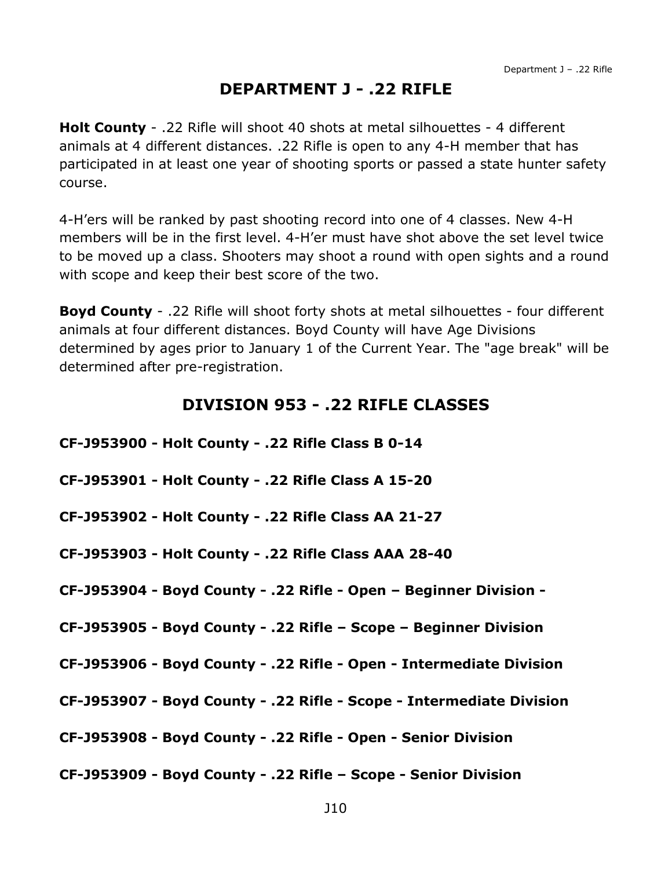### **DEPARTMENT J - .22 RIFLE**

<span id="page-10-0"></span>**Holt County** - .22 Rifle will shoot 40 shots at metal silhouettes - 4 different animals at 4 different distances. .22 Rifle is open to any 4-H member that has participated in at least one year of shooting sports or passed a state hunter safety course.

4-H'ers will be ranked by past shooting record into one of 4 classes. New 4-H members will be in the first level. 4-H'er must have shot above the set level twice to be moved up a class. Shooters may shoot a round with open sights and a round with scope and keep their best score of the two.

**Boyd County** - .22 Rifle will shoot forty shots at metal silhouettes - four different animals at four different distances. Boyd County will have Age Divisions determined by ages prior to January 1 of the Current Year. The "age break" will be determined after pre-registration.

### **DIVISION 953 - .22 RIFLE CLASSES**

<span id="page-10-1"></span>**CF-J953900 - Holt County - .22 Rifle Class B 0-14**

**CF-J953901 - Holt County - .22 Rifle Class A 15-20**

**CF-J953902 - Holt County - .22 Rifle Class AA 21-27**

**CF-J953903 - Holt County - .22 Rifle Class AAA 28-40**

**CF-J953904 - Boyd County - .22 Rifle - Open – Beginner Division -**

**CF-J953905 - Boyd County - .22 Rifle – Scope – Beginner Division**

**CF-J953906 - Boyd County - .22 Rifle - Open - Intermediate Division** 

**CF-J953907 - Boyd County - .22 Rifle - Scope - Intermediate Division** 

**CF-J953908 - Boyd County - .22 Rifle - Open - Senior Division**

**CF-J953909 - Boyd County - .22 Rifle – Scope - Senior Division**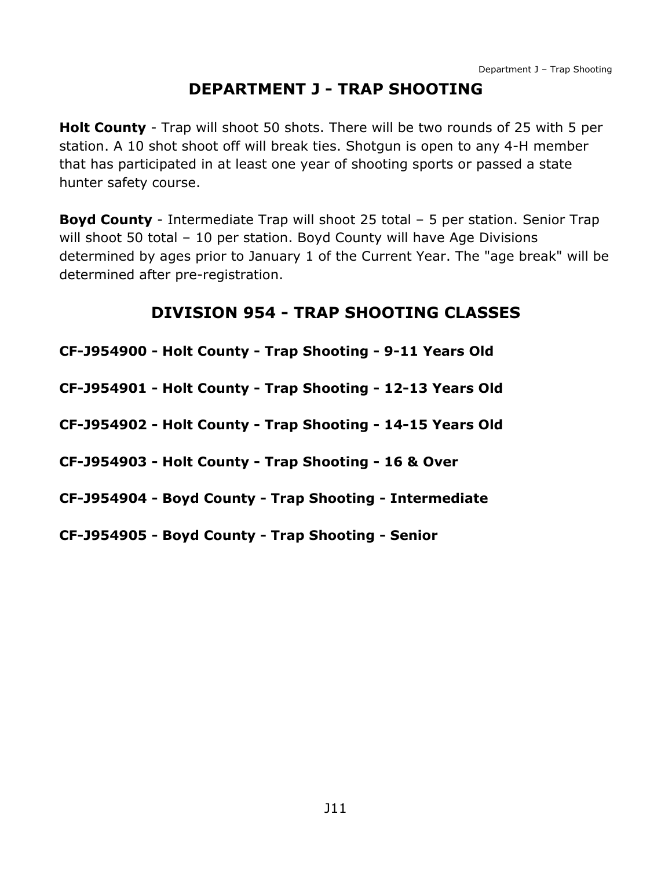# **DEPARTMENT J - TRAP SHOOTING**

<span id="page-11-0"></span>**Holt County** - Trap will shoot 50 shots. There will be two rounds of 25 with 5 per station. A 10 shot shoot off will break ties. Shotgun is open to any 4-H member that has participated in at least one year of shooting sports or passed a state hunter safety course.

**Boyd County** - Intermediate Trap will shoot 25 total – 5 per station. Senior Trap will shoot 50 total - 10 per station. Boyd County will have Age Divisions determined by ages prior to January 1 of the Current Year. The "age break" will be determined after pre-registration.

# **DIVISION 954 - TRAP SHOOTING CLASSES**

<span id="page-11-1"></span>

| CF-J954900 - Holt County - Trap Shooting - 9-11 Years Old  |
|------------------------------------------------------------|
| CF-J954901 - Holt County - Trap Shooting - 12-13 Years Old |
| CF-J954902 - Holt County - Trap Shooting - 14-15 Years Old |
| CF-J954903 - Holt County - Trap Shooting - 16 & Over       |
| CF-J954904 - Boyd County - Trap Shooting - Intermediate    |
| CF-J954905 - Boyd County - Trap Shooting - Senior          |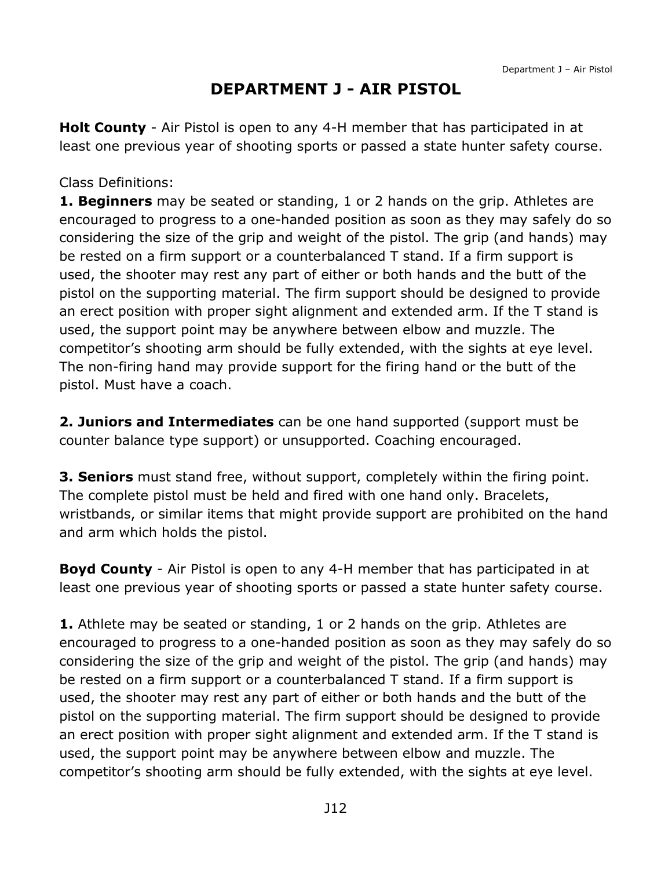# **DEPARTMENT J - AIR PISTOL**

<span id="page-12-0"></span>**Holt County** - Air Pistol is open to any 4-H member that has participated in at least one previous year of shooting sports or passed a state hunter safety course.

#### Class Definitions:

**1. Beginners** may be seated or standing, 1 or 2 hands on the grip. Athletes are encouraged to progress to a one-handed position as soon as they may safely do so considering the size of the grip and weight of the pistol. The grip (and hands) may be rested on a firm support or a counterbalanced T stand. If a firm support is used, the shooter may rest any part of either or both hands and the butt of the pistol on the supporting material. The firm support should be designed to provide an erect position with proper sight alignment and extended arm. If the T stand is used, the support point may be anywhere between elbow and muzzle. The competitor's shooting arm should be fully extended, with the sights at eye level. The non-firing hand may provide support for the firing hand or the butt of the pistol. Must have a coach.

**2. Juniors and Intermediates** can be one hand supported (support must be counter balance type support) or unsupported. Coaching encouraged.

**3. Seniors** must stand free, without support, completely within the firing point. The complete pistol must be held and fired with one hand only. Bracelets, wristbands, or similar items that might provide support are prohibited on the hand and arm which holds the pistol.

**Boyd County** - Air Pistol is open to any 4-H member that has participated in at least one previous year of shooting sports or passed a state hunter safety course.

**1.** Athlete may be seated or standing, 1 or 2 hands on the grip. Athletes are encouraged to progress to a one-handed position as soon as they may safely do so considering the size of the grip and weight of the pistol. The grip (and hands) may be rested on a firm support or a counterbalanced T stand. If a firm support is used, the shooter may rest any part of either or both hands and the butt of the pistol on the supporting material. The firm support should be designed to provide an erect position with proper sight alignment and extended arm. If the T stand is used, the support point may be anywhere between elbow and muzzle. The competitor's shooting arm should be fully extended, with the sights at eye level.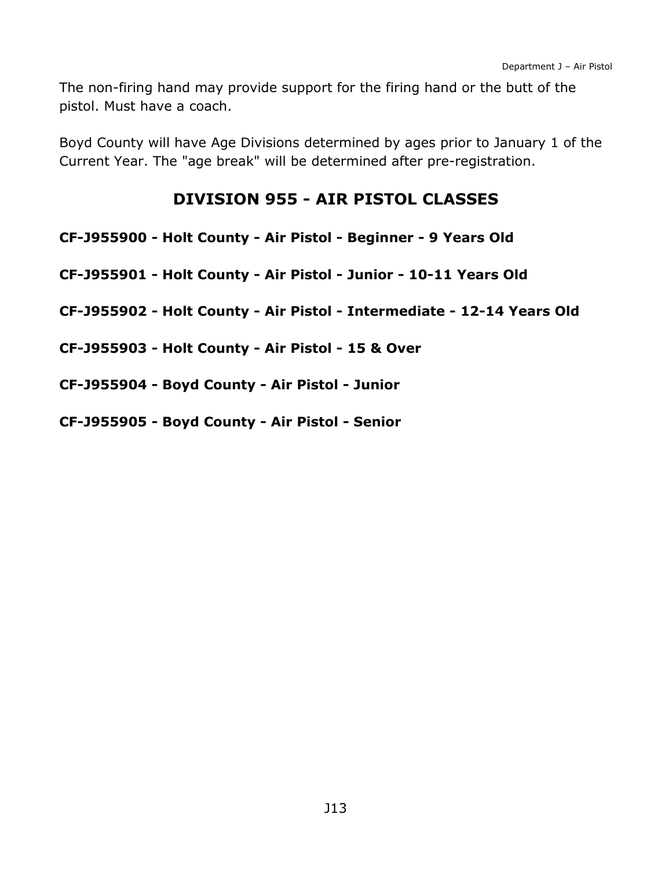The non-firing hand may provide support for the firing hand or the butt of the pistol. Must have a coach.

Boyd County will have Age Divisions determined by ages prior to January 1 of the Current Year. The "age break" will be determined after pre-registration.

### **DIVISION 955 - AIR PISTOL CLASSES**

- <span id="page-13-0"></span>**CF-J955900 - Holt County - Air Pistol - Beginner - 9 Years Old**
- **CF-J955901 - Holt County - Air Pistol - Junior - 10-11 Years Old**
- **CF-J955902 - Holt County - Air Pistol - Intermediate - 12-14 Years Old**
- **CF-J955903 - Holt County - Air Pistol - 15 & Over**
- **CF-J955904 - Boyd County - Air Pistol - Junior**
- **CF-J955905 - Boyd County - Air Pistol - Senior**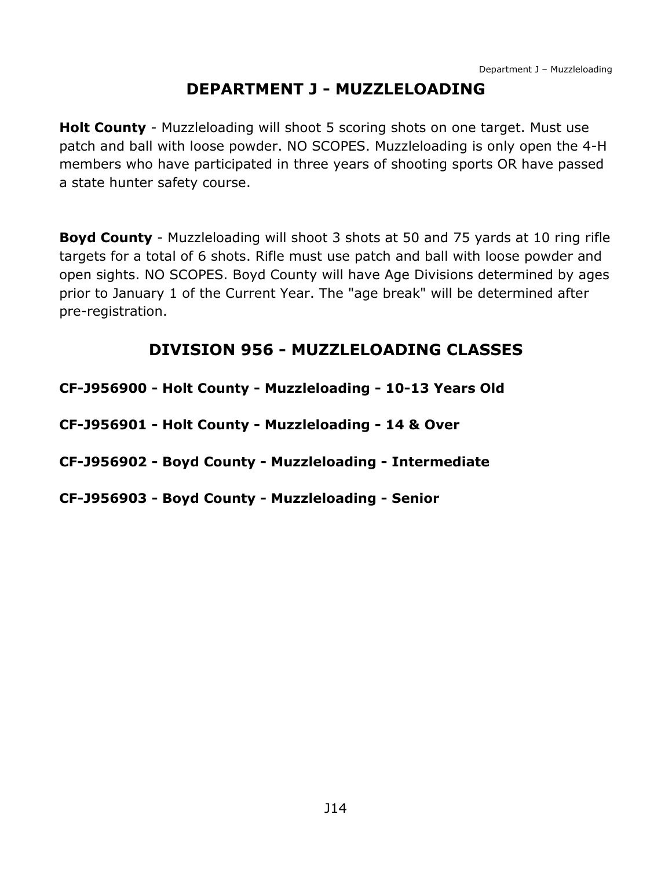## **DEPARTMENT J - MUZZLELOADING**

<span id="page-14-0"></span>**Holt County** - Muzzleloading will shoot 5 scoring shots on one target. Must use patch and ball with loose powder. NO SCOPES. Muzzleloading is only open the 4-H members who have participated in three years of shooting sports OR have passed a state hunter safety course.

**Boyd County** - Muzzleloading will shoot 3 shots at 50 and 75 yards at 10 ring rifle targets for a total of 6 shots. Rifle must use patch and ball with loose powder and open sights. NO SCOPES. Boyd County will have Age Divisions determined by ages prior to January 1 of the Current Year. The "age break" will be determined after pre-registration.

## **DIVISION 956 - MUZZLELOADING CLASSES**

<span id="page-14-1"></span>**CF-J956900 - Holt County - Muzzleloading - 10-13 Years Old**

**CF-J956901 - Holt County - Muzzleloading - 14 & Over**

**CF-J956902 - Boyd County - Muzzleloading - Intermediate**

**CF-J956903 - Boyd County - Muzzleloading - Senior**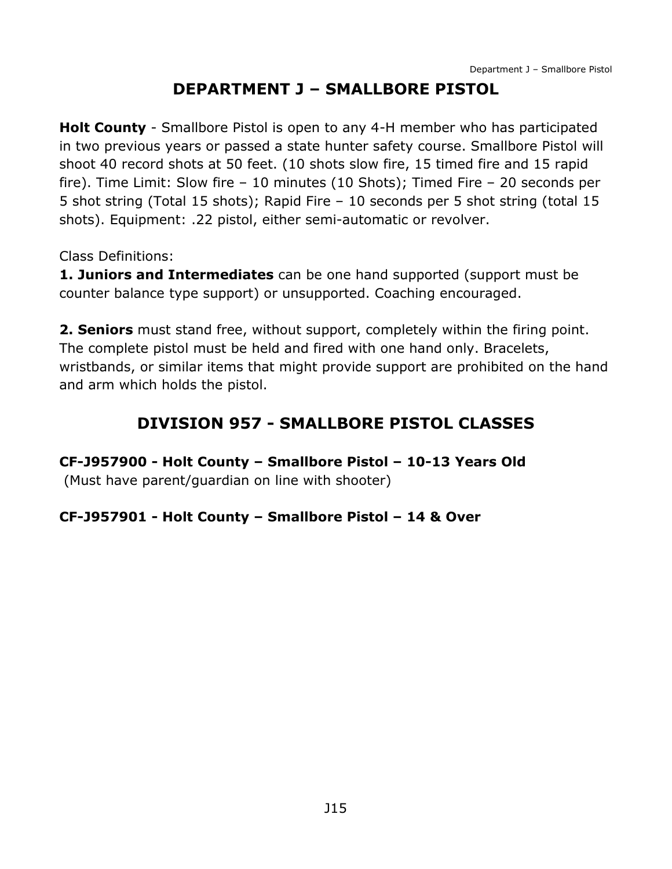# **DEPARTMENT J – SMALLBORE PISTOL**

<span id="page-15-0"></span>**Holt County** - Smallbore Pistol is open to any 4-H member who has participated in two previous years or passed a state hunter safety course. Smallbore Pistol will shoot 40 record shots at 50 feet. (10 shots slow fire, 15 timed fire and 15 rapid fire). Time Limit: Slow fire – 10 minutes (10 Shots); Timed Fire – 20 seconds per 5 shot string (Total 15 shots); Rapid Fire – 10 seconds per 5 shot string (total 15 shots). Equipment: .22 pistol, either semi-automatic or revolver.

Class Definitions:

**1. Juniors and Intermediates** can be one hand supported (support must be counter balance type support) or unsupported. Coaching encouraged.

**2. Seniors** must stand free, without support, completely within the firing point. The complete pistol must be held and fired with one hand only. Bracelets, wristbands, or similar items that might provide support are prohibited on the hand and arm which holds the pistol.

# **DIVISION 957 - SMALLBORE PISTOL CLASSES**

<span id="page-15-1"></span>**CF-J957900 - Holt County – Smallbore Pistol – 10-13 Years Old**

(Must have parent/guardian on line with shooter)

#### **CF-J957901 - Holt County – Smallbore Pistol – 14 & Over**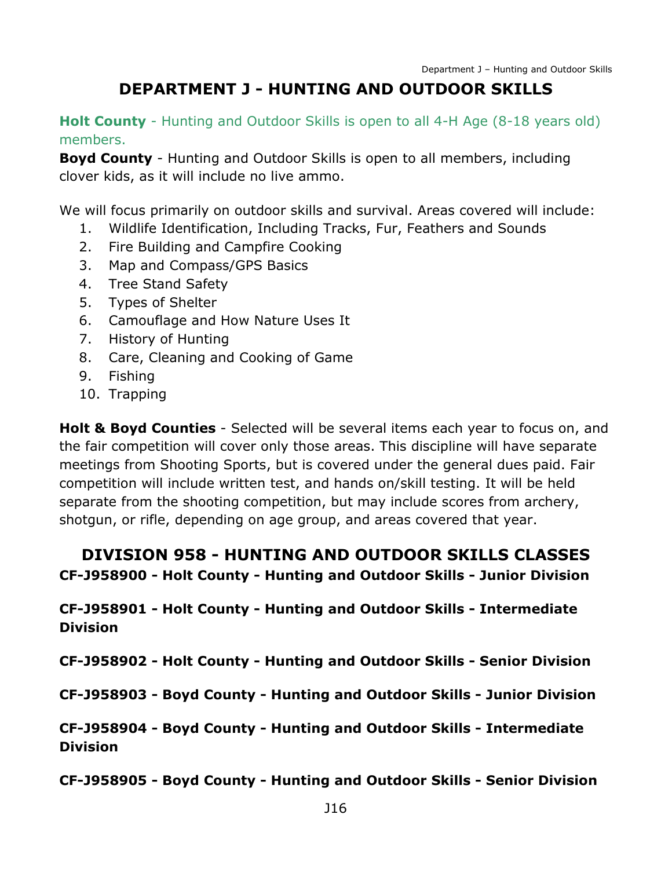# **DEPARTMENT J - HUNTING AND OUTDOOR SKILLS**

<span id="page-16-0"></span>**Holt County** - Hunting and Outdoor Skills is open to all 4-H Age (8-18 years old) members.

**Boyd County** - Hunting and Outdoor Skills is open to all members, including clover kids, as it will include no live ammo.

We will focus primarily on outdoor skills and survival. Areas covered will include:

- 1. Wildlife Identification, Including Tracks, Fur, Feathers and Sounds
- 2. Fire Building and Campfire Cooking
- 3. Map and Compass/GPS Basics
- 4. Tree Stand Safety
- 5. Types of Shelter
- 6. Camouflage and How Nature Uses It
- 7. History of Hunting
- 8. Care, Cleaning and Cooking of Game
- 9. Fishing
- 10. Trapping

**Holt & Boyd Counties** - Selected will be several items each year to focus on, and the fair competition will cover only those areas. This discipline will have separate meetings from Shooting Sports, but is covered under the general dues paid. Fair competition will include written test, and hands on/skill testing. It will be held separate from the shooting competition, but may include scores from archery, shotgun, or rifle, depending on age group, and areas covered that year.

## <span id="page-16-1"></span>**DIVISION 958 - HUNTING AND OUTDOOR SKILLS CLASSES CF-J958900 - Holt County - Hunting and Outdoor Skills - Junior Division**

**CF-J958901 - Holt County - Hunting and Outdoor Skills - Intermediate Division**

**CF-J958902 - Holt County - Hunting and Outdoor Skills - Senior Division**

**CF-J958903 - Boyd County - Hunting and Outdoor Skills - Junior Division**

**CF-J958904 - Boyd County - Hunting and Outdoor Skills - Intermediate Division**

**CF-J958905 - Boyd County - Hunting and Outdoor Skills - Senior Division**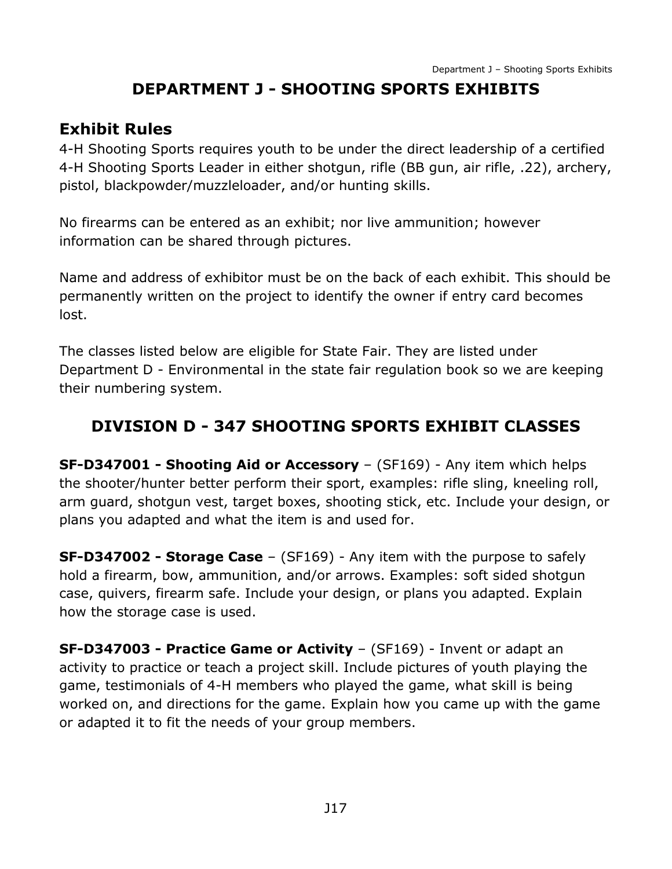# **DEPARTMENT J - SHOOTING SPORTS EXHIBITS**

## <span id="page-17-0"></span>**Exhibit Rules**

4-H Shooting Sports requires youth to be under the direct leadership of a certified 4-H Shooting Sports Leader in either shotgun, rifle (BB gun, air rifle, .22), archery, pistol, blackpowder/muzzleloader, and/or hunting skills.

No firearms can be entered as an exhibit; nor live ammunition; however information can be shared through pictures.

Name and address of exhibitor must be on the back of each exhibit. This should be permanently written on the project to identify the owner if entry card becomes lost.

The classes listed below are eligible for State Fair. They are listed under Department D - Environmental in the state fair regulation book so we are keeping their numbering system.

# <span id="page-17-1"></span>**DIVISION D - 347 SHOOTING SPORTS EXHIBIT CLASSES**

**SF-D347001 - Shooting Aid or Accessory** – (SF169) - Any item which helps the shooter/hunter better perform their sport, examples: rifle sling, kneeling roll, arm guard, shotgun vest, target boxes, shooting stick, etc. Include your design, or plans you adapted and what the item is and used for.

**SF-D347002 - Storage Case** – (SF169) - Any item with the purpose to safely hold a firearm, bow, ammunition, and/or arrows. Examples: soft sided shotgun case, quivers, firearm safe. Include your design, or plans you adapted. Explain how the storage case is used.

**SF-D347003 - Practice Game or Activity** – (SF169) - Invent or adapt an activity to practice or teach a project skill. Include pictures of youth playing the game, testimonials of 4-H members who played the game, what skill is being worked on, and directions for the game. Explain how you came up with the game or adapted it to fit the needs of your group members.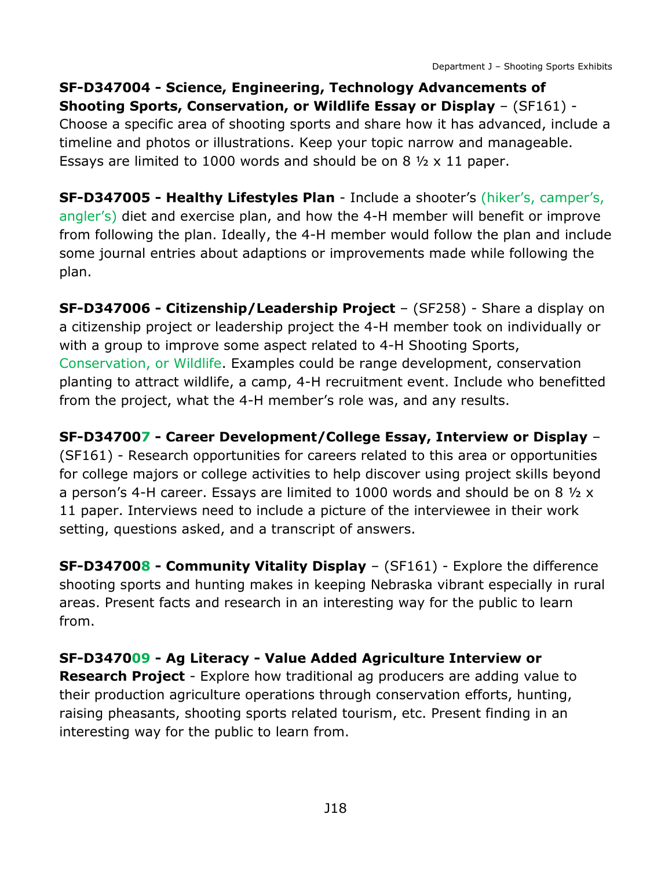**SF-D347004 - Science, Engineering, Technology Advancements of Shooting Sports, Conservation, or Wildlife Essay or Display** – (SF161) - Choose a specific area of shooting sports and share how it has advanced, include a timeline and photos or illustrations. Keep your topic narrow and manageable. Essays are limited to 1000 words and should be on 8  $\frac{1}{2} \times 11$  paper.

**SF-D347005 - Healthy Lifestyles Plan** - Include a shooter's (hiker's, camper's, angler's) diet and exercise plan, and how the 4-H member will benefit or improve from following the plan. Ideally, the 4-H member would follow the plan and include some journal entries about adaptions or improvements made while following the plan.

**SF-D347006 - Citizenship/Leadership Project** – (SF258) - Share a display on a citizenship project or leadership project the 4-H member took on individually or with a group to improve some aspect related to 4-H Shooting Sports, Conservation, or Wildlife. Examples could be range development, conservation planting to attract wildlife, a camp, 4-H recruitment event. Include who benefitted from the project, what the 4-H member's role was, and any results.

**SF-D347007 - Career Development/College Essay, Interview or Display** – (SF161) - Research opportunities for careers related to this area or opportunities for college majors or college activities to help discover using project skills beyond a person's 4-H career. Essays are limited to 1000 words and should be on 8 ½ x 11 paper. Interviews need to include a picture of the interviewee in their work setting, questions asked, and a transcript of answers.

**SF-D347008 - Community Vitality Display** – (SF161) - Explore the difference shooting sports and hunting makes in keeping Nebraska vibrant especially in rural areas. Present facts and research in an interesting way for the public to learn from.

### **SF-D347009 - Ag Literacy - Value Added Agriculture Interview or**

**Research Project** - Explore how traditional ag producers are adding value to their production agriculture operations through conservation efforts, hunting, raising pheasants, shooting sports related tourism, etc. Present finding in an interesting way for the public to learn from.